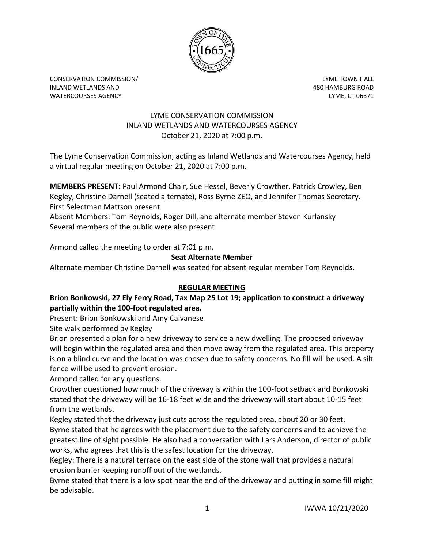

CONSERVATION COMMISSION/ LYME TOWN HALL INLAND WETLANDS AND 480 HAMBURG ROAD WATERCOURSES AGENCY LYME, CT 06371

### LYME CONSERVATION COMMISSION INLAND WETLANDS AND WATERCOURSES AGENCY October 21, 2020 at 7:00 p.m.

The Lyme Conservation Commission, acting as Inland Wetlands and Watercourses Agency, held a virtual regular meeting on October 21, 2020 at 7:00 p.m.

**MEMBERS PRESENT:** Paul Armond Chair, Sue Hessel, Beverly Crowther, Patrick Crowley, Ben Kegley, Christine Darnell (seated alternate), Ross Byrne ZEO, and Jennifer Thomas Secretary. First Selectman Mattson present

Absent Members: Tom Reynolds, Roger Dill, and alternate member Steven Kurlansky Several members of the public were also present

Armond called the meeting to order at 7:01 p.m.

# **Seat Alternate Member**

Alternate member Christine Darnell was seated for absent regular member Tom Reynolds.

## **REGULAR MEETING**

# **Brion Bonkowski, 27 Ely Ferry Road, Tax Map 25 Lot 19; application to construct a driveway partially within the 100-foot regulated area.**

Present: Brion Bonkowski and Amy Calvanese

Site walk performed by Kegley

Brion presented a plan for a new driveway to service a new dwelling. The proposed driveway will begin within the regulated area and then move away from the regulated area. This property is on a blind curve and the location was chosen due to safety concerns. No fill will be used. A silt fence will be used to prevent erosion.

Armond called for any questions.

Crowther questioned how much of the driveway is within the 100-foot setback and Bonkowski stated that the driveway will be 16-18 feet wide and the driveway will start about 10-15 feet from the wetlands.

Kegley stated that the driveway just cuts across the regulated area, about 20 or 30 feet. Byrne stated that he agrees with the placement due to the safety concerns and to achieve the greatest line of sight possible. He also had a conversation with Lars Anderson, director of public works, who agrees that this is the safest location for the driveway.

Kegley: There is a natural terrace on the east side of the stone wall that provides a natural erosion barrier keeping runoff out of the wetlands.

Byrne stated that there is a low spot near the end of the driveway and putting in some fill might be advisable.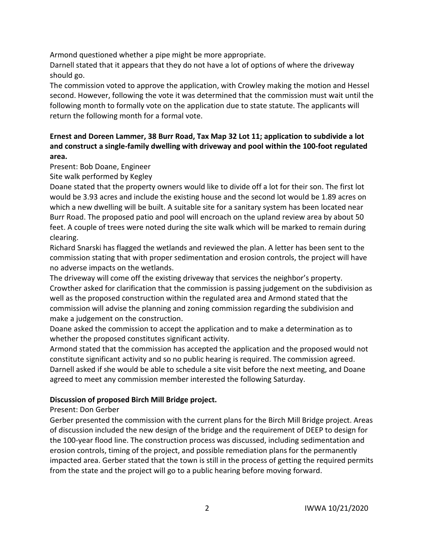Armond questioned whether a pipe might be more appropriate.

Darnell stated that it appears that they do not have a lot of options of where the driveway should go.

The commission voted to approve the application, with Crowley making the motion and Hessel second. However, following the vote it was determined that the commission must wait until the following month to formally vote on the application due to state statute. The applicants will return the following month for a formal vote.

# **Ernest and Doreen Lammer, 38 Burr Road, Tax Map 32 Lot 11; application to subdivide a lot and construct a single-family dwelling with driveway and pool within the 100-foot regulated area.**

Present: Bob Doane, Engineer

Site walk performed by Kegley

Doane stated that the property owners would like to divide off a lot for their son. The first lot would be 3.93 acres and include the existing house and the second lot would be 1.89 acres on which a new dwelling will be built. A suitable site for a sanitary system has been located near Burr Road. The proposed patio and pool will encroach on the upland review area by about 50 feet. A couple of trees were noted during the site walk which will be marked to remain during clearing.

Richard Snarski has flagged the wetlands and reviewed the plan. A letter has been sent to the commission stating that with proper sedimentation and erosion controls, the project will have no adverse impacts on the wetlands.

The driveway will come off the existing driveway that services the neighbor's property. Crowther asked for clarification that the commission is passing judgement on the subdivision as well as the proposed construction within the regulated area and Armond stated that the commission will advise the planning and zoning commission regarding the subdivision and make a judgement on the construction.

Doane asked the commission to accept the application and to make a determination as to whether the proposed constitutes significant activity.

Armond stated that the commission has accepted the application and the proposed would not constitute significant activity and so no public hearing is required. The commission agreed. Darnell asked if she would be able to schedule a site visit before the next meeting, and Doane agreed to meet any commission member interested the following Saturday.

## **Discussion of proposed Birch Mill Bridge project.**

## Present: Don Gerber

Gerber presented the commission with the current plans for the Birch Mill Bridge project. Areas of discussion included the new design of the bridge and the requirement of DEEP to design for the 100-year flood line. The construction process was discussed, including sedimentation and erosion controls, timing of the project, and possible remediation plans for the permanently impacted area. Gerber stated that the town is still in the process of getting the required permits from the state and the project will go to a public hearing before moving forward.